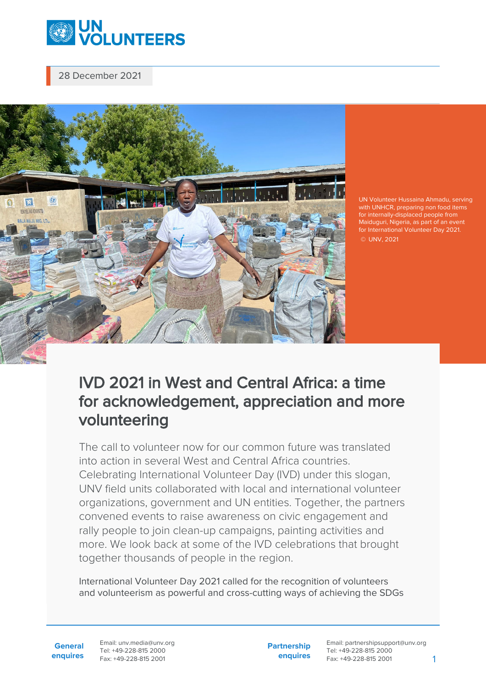

28 December 2021



UN Volunteer Hussaina Ahmadu, serving for internally-displaced people from Maiduguri, Nigeria, as part of an event for International Volunteer Day 2021. © UNV, 2021

## IVD 2021 in West and Central Africa: a time for acknowledgement, appreciation and more volunteering

The call to volunteer now for our common future was translated into action in several West and Central Africa countries. Celebrating International Volunteer Day (IVD) under this slogan, UNV field units collaborated with local and international volunteer organizations, government and UN entities. Together, the partners convened events to raise awareness on civic engagement and rally people to join clean-up campaigns, painting activities and more. We look back at some of the IVD celebrations that brought together thousands of people in the region.

International Volunteer Day 2021 called for the recognition of volunteers and volunteerism as powerful and cross-cutting ways of achieving the SDGs

**General enquires** Email: unv.media@unv.org Tel: +49-228-815 2000 Fax: +49-228-815 2001

**Partnership enquires**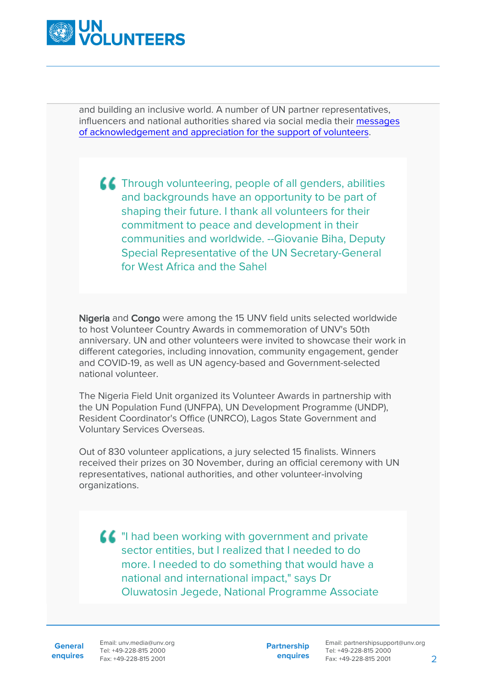

and building an inclusive world. A number of UN partner representatives, influencers and national authorities shared via social media their [messages](https://youtube.com/playlist?list=PLIPU90XDRFe7OSEEjJKRXBwbFMgauQQFl) [of acknowledgement and appreciation for the support of volunteers.](https://youtube.com/playlist?list=PLIPU90XDRFe7OSEEjJKRXBwbFMgauQQFl)

**A EXT** Through volunteering, people of all genders, abilities and backgrounds have an opportunity to be part of shaping their future. I thank all volunteers for their commitment to peace and development in their communities and worldwide. --Giovanie Biha, Deputy Special Representative of the UN Secretary-General for West Africa and the Sahel

Nigeria and Congo were among the 15 UNV field units selected worldwide to host Volunteer Country Awards in commemoration of UNV's 50th anniversary. UN and other volunteers were invited to showcase their work in different categories, including innovation, community engagement, gender and COVID-19, as well as UN agency-based and Government-selected national volunteer.

The Nigeria Field Unit organized its Volunteer Awards in partnership with the UN Population Fund (UNFPA), UN Development Programme (UNDP), Resident Coordinator's Office (UNRCO), Lagos State Government and Voluntary Services Overseas.

Out of 830 volunteer applications, a jury selected 15 finalists. Winners received their prizes on 30 November, during an official ceremony with UN representatives, national authorities, and other volunteer-involving organizations.

 $\left\{ \right.$  "I had been working with government and private sector entities, but I realized that I needed to do more. I needed to do something that would have a national and international impact," says Dr Oluwatosin Jegede, National Programme Associate

**General**

**enquires** Fax: +49-228-815 2001 Email: unv.media@unv.org Tel: +49-228-815 2000

**Partnership enquires**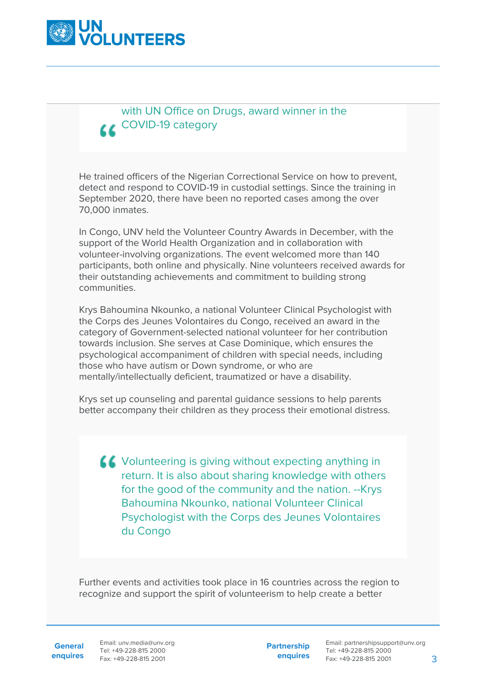

## with UN Office on Drugs, award winner in the LL COVID-19 category

He trained officers of the Nigerian Correctional Service on how to prevent, detect and respond to COVID-19 in custodial settings. Since the training in September 2020, there have been no reported cases among the over 70,000 inmates.

In Congo, UNV held the Volunteer Country Awards in December, with the support of the World Health Organization and in collaboration with volunteer-involving organizations. The event welcomed more than 140 participants, both online and physically. Nine volunteers received awards for their outstanding achievements and commitment to building strong communities.

Krys Bahoumina Nkounko, a national Volunteer Clinical Psychologist with the Corps des Jeunes Volontaires du Congo, received an award in the category of Government-selected national volunteer for her contribution towards inclusion. She serves at Case Dominique, which ensures the psychological accompaniment of children with special needs, including those who have autism or Down syndrome, or who are mentally/intellectually deficient, traumatized or have a disability.

Krys set up counseling and parental guidance sessions to help parents better accompany their children as they process their emotional distress.

**LE** Volunteering is giving without expecting anything in return. It is also about sharing knowledge with others for the good of the community and the nation. --Krys Bahoumina Nkounko, national Volunteer Clinical Psychologist with the Corps des Jeunes Volontaires du Congo

Further events and activities took place in 16 countries across the region to recognize and support the spirit of volunteerism to help create a better

**General**

**enquires** Fax: +49-228-815 2001 Email: unv.media@unv.org Tel: +49-228-815 2000

**Partnership enquires**